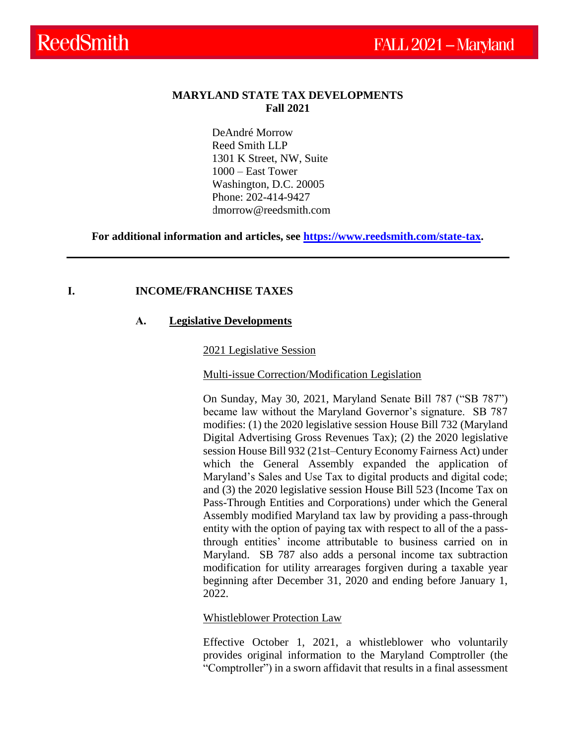#### **MARYLAND STATE TAX DEVELOPMENTS Fall 2021**

DeAndré Morrow Reed Smith LLP 1301 K Street, NW, Suite 1000 – East Tower Washington, D.C. 20005 Phone: 202-414-9427 dmorrow@reedsmith.com

**For additional information and articles, see [https://www.reedsmith.com/state-tax.](https://www.reedsmith.com/en/capabilities/services/tax-private-client-services-and-executive-compensation/state-tax)**

#### **I. INCOME/FRANCHISE TAXES**

#### **A. Legislative Developments**

2021 Legislative Session

Multi-issue Correction/Modification Legislation

On Sunday, May 30, 2021, Maryland Senate Bill 787 ("SB 787") became law without the Maryland Governor's signature. SB 787 modifies: (1) the 2020 legislative session House Bill 732 (Maryland Digital Advertising Gross Revenues Tax); (2) the 2020 legislative session House Bill 932 (21st–Century Economy Fairness Act) under which the General Assembly expanded the application of Maryland's Sales and Use Tax to digital products and digital code; and (3) the 2020 legislative session House Bill 523 (Income Tax on Pass-Through Entities and Corporations) under which the General Assembly modified Maryland tax law by providing a pass-through entity with the option of paying tax with respect to all of the a passthrough entities' income attributable to business carried on in Maryland. SB 787 also adds a personal income tax subtraction modification for utility arrearages forgiven during a taxable year beginning after December 31, 2020 and ending before January 1, 2022.

#### Whistleblower Protection Law

Effective October 1, 2021, a whistleblower who voluntarily provides original information to the Maryland Comptroller (the "Comptroller") in a sworn affidavit that results in a final assessment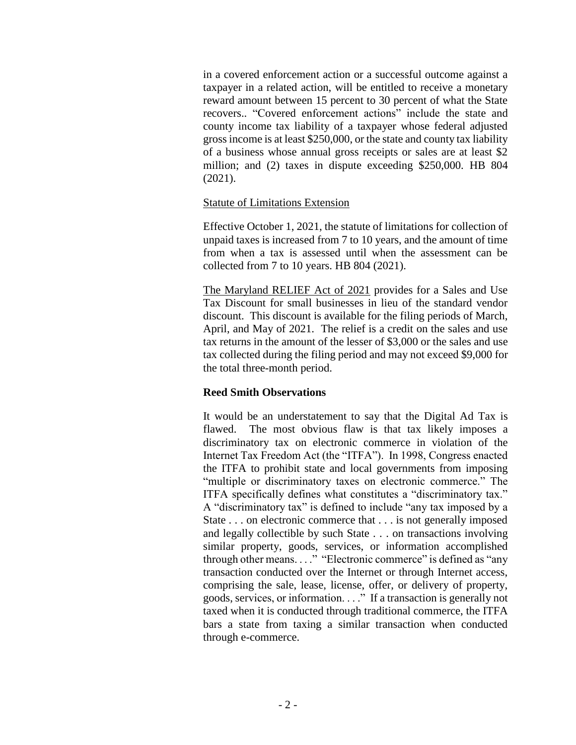in a covered enforcement action or a successful outcome against a taxpayer in a related action, will be entitled to receive a monetary reward amount between 15 percent to 30 percent of what the State recovers.. "Covered enforcement actions" include the state and county income tax liability of a taxpayer whose federal adjusted gross income is at least \$250,000, or the state and county tax liability of a business whose annual gross receipts or sales are at least \$2 million; and (2) taxes in dispute exceeding \$250,000. HB 804 (2021).

### Statute of Limitations Extension

Effective October 1, 2021, the statute of limitations for collection of unpaid taxes is increased from 7 to 10 years, and the amount of time from when a tax is assessed until when the assessment can be collected from 7 to 10 years. HB 804 (2021).

The Maryland RELIEF Act of 2021 provides for a Sales and Use Tax Discount for small businesses in lieu of the standard vendor discount. This discount is available for the filing periods of March, April, and May of 2021. The relief is a credit on the sales and use tax returns in the amount of the lesser of \$3,000 or the sales and use tax collected during the filing period and may not exceed \$9,000 for the total three-month period.

### **Reed Smith Observations**

It would be an understatement to say that the Digital Ad Tax is flawed. The most obvious flaw is that tax likely imposes a discriminatory tax on electronic commerce in violation of the Internet Tax Freedom Act (the "ITFA"). In 1998, Congress enacted the ITFA to prohibit state and local governments from imposing "multiple or discriminatory taxes on electronic commerce." The ITFA specifically defines what constitutes a "discriminatory tax." A "discriminatory tax" is defined to include "any tax imposed by a State . . . on electronic commerce that . . . is not generally imposed and legally collectible by such State . . . on transactions involving similar property, goods, services, or information accomplished through other means. . . ." "Electronic commerce" is defined as "any transaction conducted over the Internet or through Internet access, comprising the sale, lease, license, offer, or delivery of property, goods, services, or information. . . ." If a transaction is generally not taxed when it is conducted through traditional commerce, the ITFA bars a state from taxing a similar transaction when conducted through e-commerce.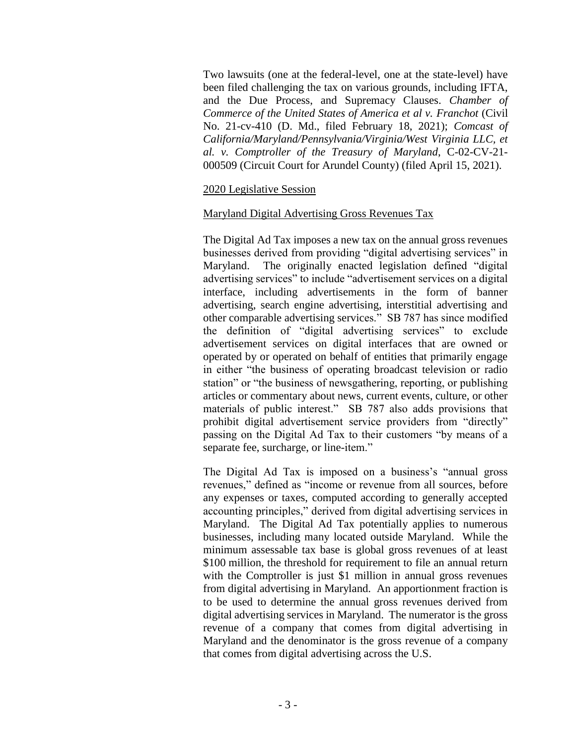Two lawsuits (one at the federal-level, one at the state-level) have been filed challenging the tax on various grounds, including IFTA, and the Due Process, and Supremacy Clauses. *Chamber of Commerce of the United States of America et al v. Franchot* (Civil No. 21-cv-410 (D. Md., filed February 18, 2021); *Comcast of California/Maryland/Pennsylvania/Virginia/West Virginia LLC, et al. v. Comptroller of the Treasury of Maryland*, C-02-CV-21- 000509 (Circuit Court for Arundel County) (filed April 15, 2021).

### 2020 Legislative Session

#### Maryland Digital Advertising Gross Revenues Tax

The Digital Ad Tax imposes a new tax on the annual gross revenues businesses derived from providing "digital advertising services" in Maryland. The originally enacted legislation defined "digital advertising services" to include "advertisement services on a digital interface, including advertisements in the form of banner advertising, search engine advertising, interstitial advertising and other comparable advertising services." SB 787 has since modified the definition of "digital advertising services" to exclude advertisement services on digital interfaces that are owned or operated by or operated on behalf of entities that primarily engage in either "the business of operating broadcast television or radio station" or "the business of newsgathering, reporting, or publishing articles or commentary about news, current events, culture, or other materials of public interest." SB 787 also adds provisions that prohibit digital advertisement service providers from "directly" passing on the Digital Ad Tax to their customers "by means of a separate fee, surcharge, or line-item."

The Digital Ad Tax is imposed on a business's "annual gross revenues," defined as "income or revenue from all sources, before any expenses or taxes, computed according to generally accepted accounting principles," derived from digital advertising services in Maryland. The Digital Ad Tax potentially applies to numerous businesses, including many located outside Maryland. While the minimum assessable tax base is global gross revenues of at least \$100 million, the threshold for requirement to file an annual return with the Comptroller is just \$1 million in annual gross revenues from digital advertising in Maryland. An apportionment fraction is to be used to determine the annual gross revenues derived from digital advertising services in Maryland. The numerator is the gross revenue of a company that comes from digital advertising in Maryland and the denominator is the gross revenue of a company that comes from digital advertising across the U.S.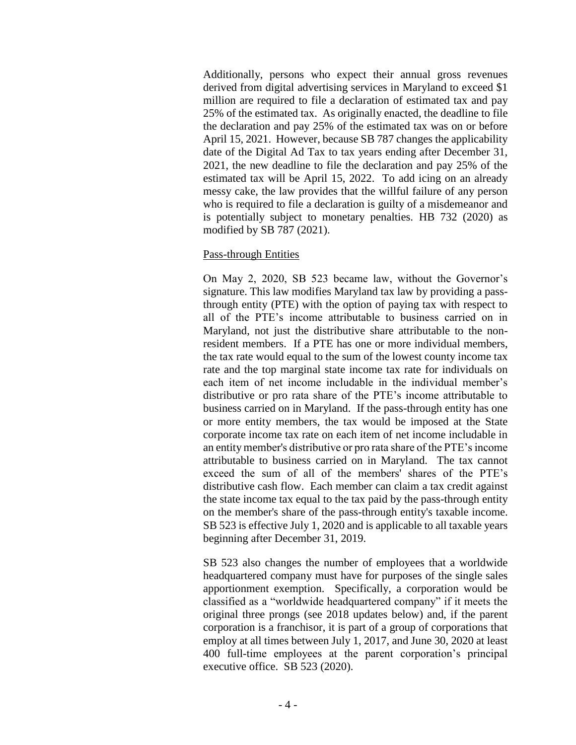Additionally, persons who expect their annual gross revenues derived from digital advertising services in Maryland to exceed \$1 million are required to file a declaration of estimated tax and pay 25% of the estimated tax. As originally enacted, the deadline to file the declaration and pay 25% of the estimated tax was on or before April 15, 2021. However, because SB 787 changes the applicability date of the Digital Ad Tax to tax years ending after December 31, 2021, the new deadline to file the declaration and pay 25% of the estimated tax will be April 15, 2022. To add icing on an already messy cake, the law provides that the willful failure of any person who is required to file a declaration is guilty of a misdemeanor and is potentially subject to monetary penalties. HB 732 (2020) as modified by SB 787 (2021).

### Pass-through Entities

On May 2, 2020, SB 523 became law, without the Governor's signature. This law modifies Maryland tax law by providing a passthrough entity (PTE) with the option of paying tax with respect to all of the PTE's income attributable to business carried on in Maryland, not just the distributive share attributable to the nonresident members. If a PTE has one or more individual members, the tax rate would equal to the sum of the lowest county income tax rate and the top marginal state income tax rate for individuals on each item of net income includable in the individual member's distributive or pro rata share of the PTE's income attributable to business carried on in Maryland. If the pass-through entity has one or more entity members, the tax would be imposed at the State corporate income tax rate on each item of net income includable in an entity member's distributive or pro rata share of the PTE's income attributable to business carried on in Maryland. The tax cannot exceed the sum of all of the members' shares of the PTE's distributive cash flow. Each member can claim a tax credit against the state income tax equal to the tax paid by the pass-through entity on the member's share of the pass-through entity's taxable income. SB 523 is effective July 1, 2020 and is applicable to all taxable years beginning after December 31, 2019.

SB 523 also changes the number of employees that a worldwide headquartered company must have for purposes of the single sales apportionment exemption. Specifically, a corporation would be classified as a "worldwide headquartered company" if it meets the original three prongs (see 2018 updates below) and, if the parent corporation is a franchisor, it is part of a group of corporations that employ at all times between July 1, 2017, and June 30, 2020 at least 400 full-time employees at the parent corporation's principal executive office. SB 523 (2020).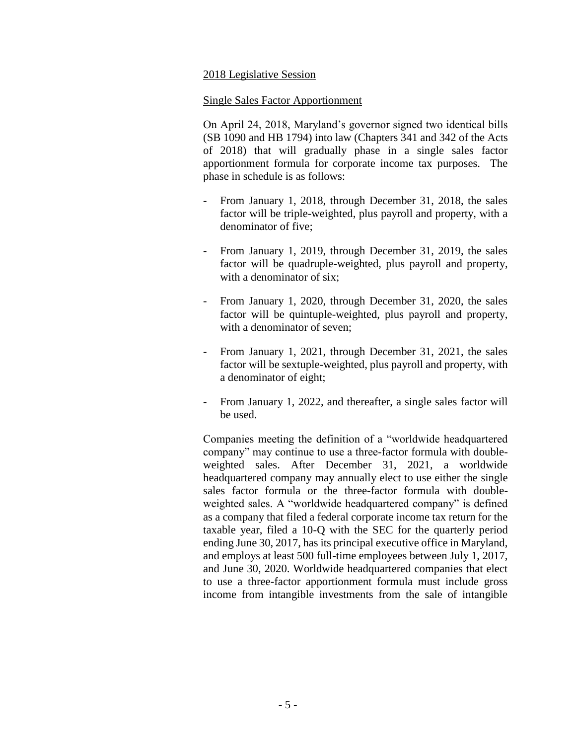### 2018 Legislative Session

#### Single Sales Factor Apportionment

On April 24, 2018, Maryland's governor signed two identical bills (SB 1090 and HB 1794) into law (Chapters 341 and 342 of the Acts of 2018) that will gradually phase in a single sales factor apportionment formula for corporate income tax purposes. The phase in schedule is as follows:

- From January 1, 2018, through December 31, 2018, the sales factor will be triple-weighted, plus payroll and property, with a denominator of five;
- From January 1, 2019, through December 31, 2019, the sales factor will be quadruple-weighted, plus payroll and property, with a denominator of six;
- From January 1, 2020, through December 31, 2020, the sales factor will be quintuple-weighted, plus payroll and property, with a denominator of seven;
- From January 1, 2021, through December 31, 2021, the sales factor will be sextuple-weighted, plus payroll and property, with a denominator of eight;
- From January 1, 2022, and thereafter, a single sales factor will be used.

Companies meeting the definition of a "worldwide headquartered company" may continue to use a three-factor formula with doubleweighted sales. After December 31, 2021, a worldwide headquartered company may annually elect to use either the single sales factor formula or the three-factor formula with doubleweighted sales. A "worldwide headquartered company" is defined as a company that filed a federal corporate income tax return for the taxable year, filed a 10-Q with the SEC for the quarterly period ending June 30, 2017, has its principal executive office in Maryland, and employs at least 500 full-time employees between July 1, 2017, and June 30, 2020. Worldwide headquartered companies that elect to use a three-factor apportionment formula must include gross income from intangible investments from the sale of intangible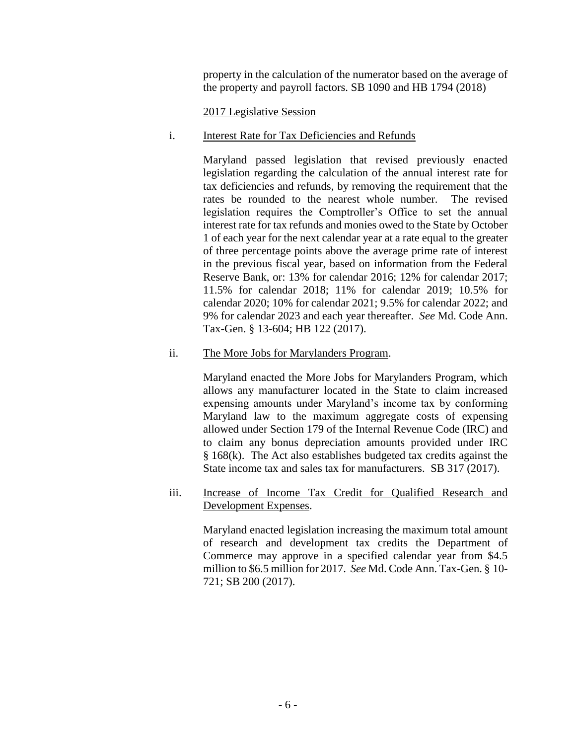property in the calculation of the numerator based on the average of the property and payroll factors. SB 1090 and HB 1794 (2018)

## 2017 Legislative Session

### i. Interest Rate for Tax Deficiencies and Refunds

Maryland passed legislation that revised previously enacted legislation regarding the calculation of the annual interest rate for tax deficiencies and refunds, by removing the requirement that the rates be rounded to the nearest whole number. The revised legislation requires the Comptroller's Office to set the annual interest rate for tax refunds and monies owed to the State by October 1 of each year for the next calendar year at a rate equal to the greater of three percentage points above the average prime rate of interest in the previous fiscal year, based on information from the Federal Reserve Bank, or: 13% for calendar 2016; 12% for calendar 2017; 11.5% for calendar 2018; 11% for calendar 2019; 10.5% for calendar 2020; 10% for calendar 2021; 9.5% for calendar 2022; and 9% for calendar 2023 and each year thereafter. *See* Md. Code Ann. Tax-Gen. § 13-604; HB 122 (2017).

### ii. The More Jobs for Marylanders Program.

Maryland enacted the More Jobs for Marylanders Program, which allows any manufacturer located in the State to claim increased expensing amounts under Maryland's income tax by conforming Maryland law to the maximum aggregate costs of expensing allowed under Section 179 of the Internal Revenue Code (IRC) and to claim any bonus depreciation amounts provided under IRC § 168(k). The Act also establishes budgeted tax credits against the State income tax and sales tax for manufacturers. SB 317 (2017).

## iii. Increase of Income Tax Credit for Qualified Research and Development Expenses.

Maryland enacted legislation increasing the maximum total amount of research and development tax credits the Department of Commerce may approve in a specified calendar year from \$4.5 million to \$6.5 million for 2017. *See* Md. Code Ann. Tax-Gen. § 10- 721; SB 200 (2017).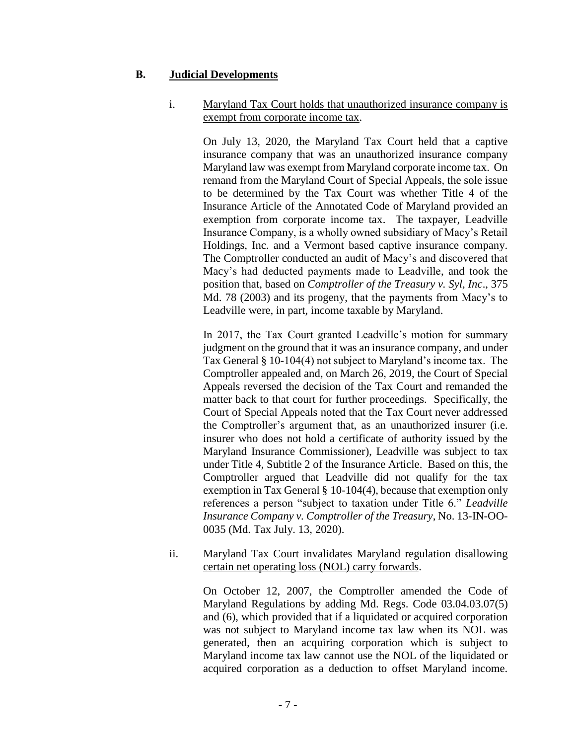## **B. Judicial Developments**

## i. Maryland Tax Court holds that unauthorized insurance company is exempt from corporate income tax.

On July 13, 2020, the Maryland Tax Court held that a captive insurance company that was an unauthorized insurance company Maryland law was exempt from Maryland corporate income tax. On remand from the Maryland Court of Special Appeals, the sole issue to be determined by the Tax Court was whether Title 4 of the Insurance Article of the Annotated Code of Maryland provided an exemption from corporate income tax. The taxpayer, Leadville Insurance Company, is a wholly owned subsidiary of Macy's Retail Holdings, Inc. and a Vermont based captive insurance company. The Comptroller conducted an audit of Macy's and discovered that Macy's had deducted payments made to Leadville, and took the position that, based on *Comptroller of the Treasury v. Syl, Inc*., 375 Md. 78 (2003) and its progeny, that the payments from Macy's to Leadville were, in part, income taxable by Maryland.

In 2017, the Tax Court granted Leadville's motion for summary judgment on the ground that it was an insurance company, and under Tax General § 10-104(4) not subject to Maryland's income tax. The Comptroller appealed and, on March 26, 2019, the Court of Special Appeals reversed the decision of the Tax Court and remanded the matter back to that court for further proceedings. Specifically, the Court of Special Appeals noted that the Tax Court never addressed the Comptroller's argument that, as an unauthorized insurer (i.e. insurer who does not hold a certificate of authority issued by the Maryland Insurance Commissioner), Leadville was subject to tax under Title 4, Subtitle 2 of the Insurance Article. Based on this, the Comptroller argued that Leadville did not qualify for the tax exemption in Tax General § 10-104(4), because that exemption only references a person "subject to taxation under Title 6." *Leadville Insurance Company v. Comptroller of the Treasury*, No. 13-IN-OO-0035 (Md. Tax July. 13, 2020).

#### ii. Maryland Tax Court invalidates Maryland regulation disallowing certain net operating loss (NOL) carry forwards.

On October 12, 2007, the Comptroller amended the Code of Maryland Regulations by adding Md. Regs. Code 03.04.03.07(5) and (6), which provided that if a liquidated or acquired corporation was not subject to Maryland income tax law when its NOL was generated, then an acquiring corporation which is subject to Maryland income tax law cannot use the NOL of the liquidated or acquired corporation as a deduction to offset Maryland income.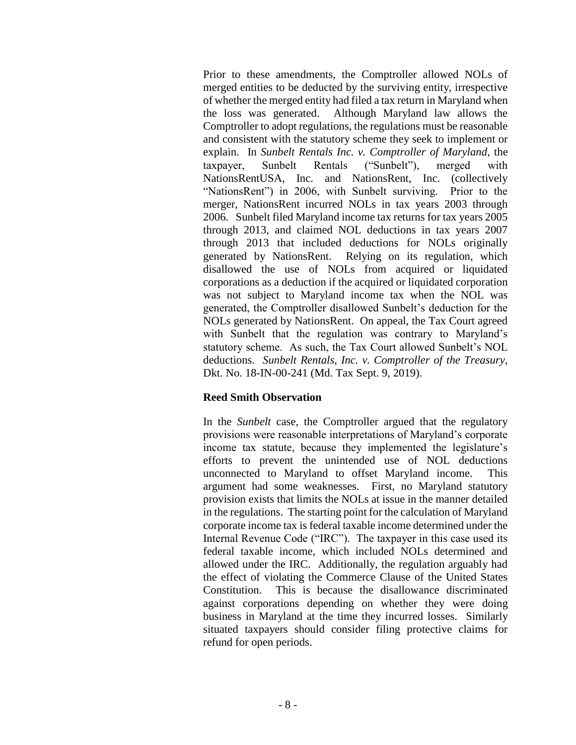Prior to these amendments, the Comptroller allowed NOLs of merged entities to be deducted by the surviving entity, irrespective of whether the merged entity had filed a tax return in Maryland when the loss was generated. Although Maryland law allows the Comptroller to adopt regulations, the regulations must be reasonable and consistent with the statutory scheme they seek to implement or explain. In *Sunbelt Rentals Inc. v. Comptroller of Maryland*, the taxpayer, Sunbelt Rentals ("Sunbelt"), merged with NationsRentUSA, Inc. and NationsRent, Inc. (collectively "NationsRent") in 2006, with Sunbelt surviving. Prior to the merger, NationsRent incurred NOLs in tax years 2003 through 2006. Sunbelt filed Maryland income tax returns for tax years 2005 through 2013, and claimed NOL deductions in tax years 2007 through 2013 that included deductions for NOLs originally generated by NationsRent. Relying on its regulation, which disallowed the use of NOLs from acquired or liquidated corporations as a deduction if the acquired or liquidated corporation was not subject to Maryland income tax when the NOL was generated, the Comptroller disallowed Sunbelt's deduction for the NOLs generated by NationsRent. On appeal, the Tax Court agreed with Sunbelt that the regulation was contrary to Maryland's statutory scheme. As such, the Tax Court allowed Sunbelt's NOL deductions. *Sunbelt Rentals, Inc. v. Comptroller of the Treasury,* Dkt. No. 18-IN-00-241 (Md. Tax Sept. 9, 2019).

## **Reed Smith Observation**

In the *Sunbelt* case, the Comptroller argued that the regulatory provisions were reasonable interpretations of Maryland's corporate income tax statute, because they implemented the legislature's efforts to prevent the unintended use of NOL deductions unconnected to Maryland to offset Maryland income. This argument had some weaknesses. First, no Maryland statutory provision exists that limits the NOLs at issue in the manner detailed in the regulations. The starting point for the calculation of Maryland corporate income tax is federal taxable income determined under the Internal Revenue Code ("IRC"). The taxpayer in this case used its federal taxable income, which included NOLs determined and allowed under the IRC. Additionally, the regulation arguably had the effect of violating the Commerce Clause of the United States Constitution. This is because the disallowance discriminated against corporations depending on whether they were doing business in Maryland at the time they incurred losses. Similarly situated taxpayers should consider filing protective claims for refund for open periods.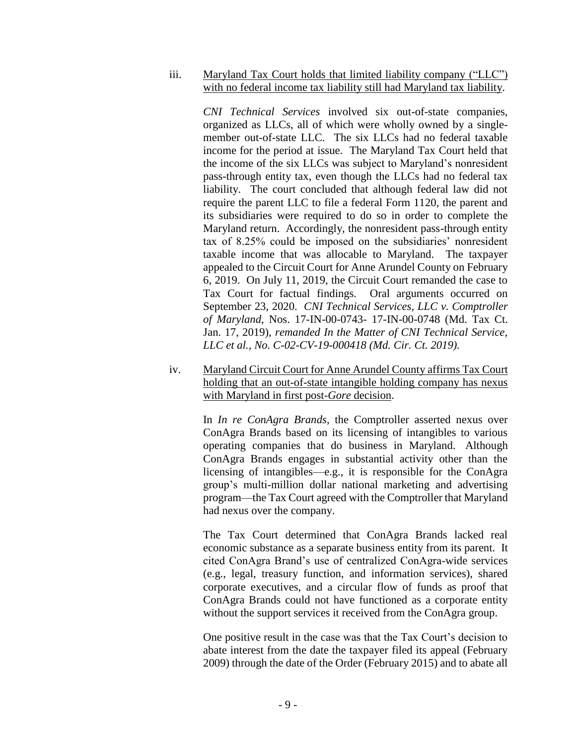iii. Maryland Tax Court holds that limited liability company ("LLC") with no federal income tax liability still had Maryland tax liability.

*CNI Technical Services* involved six out-of-state companies, organized as LLCs, all of which were wholly owned by a singlemember out-of-state LLC. The six LLCs had no federal taxable income for the period at issue. The Maryland Tax Court held that the income of the six LLCs was subject to Maryland's nonresident pass-through entity tax, even though the LLCs had no federal tax liability. The court concluded that although federal law did not require the parent LLC to file a federal Form 1120, the parent and its subsidiaries were required to do so in order to complete the Maryland return. Accordingly, the nonresident pass-through entity tax of 8.25% could be imposed on the subsidiaries' nonresident taxable income that was allocable to Maryland. The taxpayer appealed to the Circuit Court for Anne Arundel County on February 6, 2019. On July 11, 2019, the Circuit Court remanded the case to Tax Court for factual findings. Oral arguments occurred on September 23, 2020. *CNI Technical Services, LLC v. Comptroller of Maryland*, Nos. 17-IN-00-0743- 17-IN-00-0748 (Md. Tax Ct. Jan. 17, 2019), *remanded In the Matter of CNI Technical Service, LLC et al., No. C-02-CV-19-000418 (Md. Cir. Ct. 2019).*

iv. Maryland Circuit Court for Anne Arundel County affirms Tax Court holding that an out-of-state intangible holding company has nexus with Maryland in first post-*Gore* decision.

> In *In re ConAgra Brands*, the Comptroller asserted nexus over ConAgra Brands based on its licensing of intangibles to various operating companies that do business in Maryland. Although ConAgra Brands engages in substantial activity other than the licensing of intangibles—e.g., it is responsible for the ConAgra group's multi-million dollar national marketing and advertising program—the Tax Court agreed with the Comptroller that Maryland had nexus over the company.

> The Tax Court determined that ConAgra Brands lacked real economic substance as a separate business entity from its parent. It cited ConAgra Brand's use of centralized ConAgra-wide services (e.g., legal, treasury function, and information services), shared corporate executives, and a circular flow of funds as proof that ConAgra Brands could not have functioned as a corporate entity without the support services it received from the ConAgra group.

> One positive result in the case was that the Tax Court's decision to abate interest from the date the taxpayer filed its appeal (February 2009) through the date of the Order (February 2015) and to abate all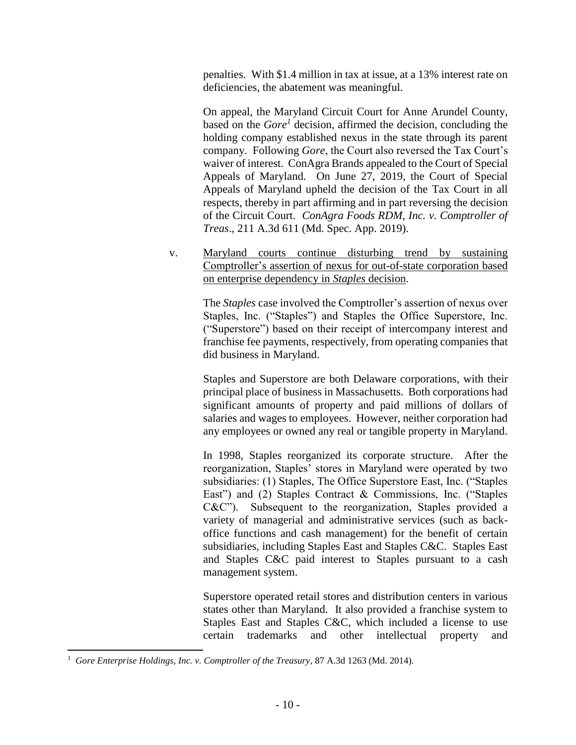penalties. With \$1.4 million in tax at issue, at a 13% interest rate on deficiencies, the abatement was meaningful.

On appeal, the Maryland Circuit Court for Anne Arundel County, based on the *Gore<sup>1</sup>* decision, affirmed the decision, concluding the holding company established nexus in the state through its parent company. Following *Gore*, the Court also reversed the Tax Court's waiver of interest. ConAgra Brands appealed to the Court of Special Appeals of Maryland. On June 27, 2019, the Court of Special Appeals of Maryland upheld the decision of the Tax Court in all respects, thereby in part affirming and in part reversing the decision of the Circuit Court. *ConAgra Foods RDM, Inc. v. Comptroller of Treas*., 211 A.3d 611 (Md. Spec. App. 2019).

v. Maryland courts continue disturbing trend by sustaining Comptroller's assertion of nexus for out-of-state corporation based on enterprise dependency in *Staples* decision.

> The *Staples* case involved the Comptroller's assertion of nexus over Staples, Inc. ("Staples") and Staples the Office Superstore, Inc. ("Superstore") based on their receipt of intercompany interest and franchise fee payments, respectively, from operating companies that did business in Maryland.

> Staples and Superstore are both Delaware corporations, with their principal place of business in Massachusetts. Both corporations had significant amounts of property and paid millions of dollars of salaries and wages to employees. However, neither corporation had any employees or owned any real or tangible property in Maryland.

> In 1998, Staples reorganized its corporate structure. After the reorganization, Staples' stores in Maryland were operated by two subsidiaries: (1) Staples, The Office Superstore East, Inc. ("Staples East") and (2) Staples Contract & Commissions, Inc. ("Staples C&C"). Subsequent to the reorganization, Staples provided a variety of managerial and administrative services (such as backoffice functions and cash management) for the benefit of certain subsidiaries, including Staples East and Staples C&C. Staples East and Staples C&C paid interest to Staples pursuant to a cash management system.

> Superstore operated retail stores and distribution centers in various states other than Maryland. It also provided a franchise system to Staples East and Staples C&C, which included a license to use certain trademarks and other intellectual property and

 $\overline{\phantom{a}}$ 

<sup>&</sup>lt;sup>1</sup> Gore Enterprise Holdings, Inc. v. Comptroller of the Treasury, 87 A.3d 1263 (Md. 2014).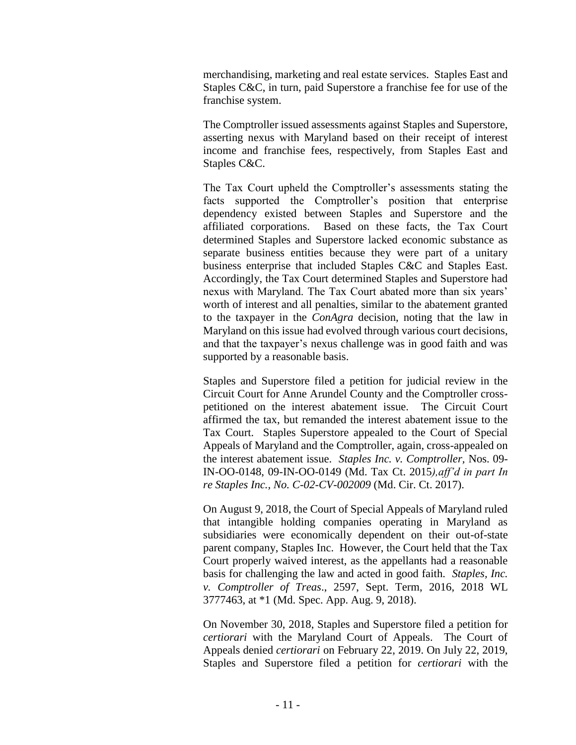merchandising, marketing and real estate services. Staples East and Staples C&C, in turn, paid Superstore a franchise fee for use of the franchise system.

The Comptroller issued assessments against Staples and Superstore, asserting nexus with Maryland based on their receipt of interest income and franchise fees, respectively, from Staples East and Staples C&C.

The Tax Court upheld the Comptroller's assessments stating the facts supported the Comptroller's position that enterprise dependency existed between Staples and Superstore and the affiliated corporations. Based on these facts, the Tax Court determined Staples and Superstore lacked economic substance as separate business entities because they were part of a unitary business enterprise that included Staples C&C and Staples East. Accordingly, the Tax Court determined Staples and Superstore had nexus with Maryland. The Tax Court abated more than six years' worth of interest and all penalties, similar to the abatement granted to the taxpayer in the *ConAgra* decision, noting that the law in Maryland on this issue had evolved through various court decisions, and that the taxpayer's nexus challenge was in good faith and was supported by a reasonable basis.

Staples and Superstore filed a petition for judicial review in the Circuit Court for Anne Arundel County and the Comptroller crosspetitioned on the interest abatement issue.The Circuit Court affirmed the tax, but remanded the interest abatement issue to the Tax Court. Staples Superstore appealed to the Court of Special Appeals of Maryland and the Comptroller, again, cross-appealed on the interest abatement issue. *Staples Inc. v. Comptroller,* Nos. 09- IN-OO-0148, 09-IN-OO-0149 (Md. Tax Ct. 2015*),aff'd in part In re Staples Inc., No. C-02-CV-002009* (Md. Cir. Ct. 2017).

On August 9, 2018, the Court of Special Appeals of Maryland ruled that intangible holding companies operating in Maryland as subsidiaries were economically dependent on their out-of-state parent company, Staples Inc. However, the Court held that the Tax Court properly waived interest, as the appellants had a reasonable basis for challenging the law and acted in good faith. *Staples, Inc. v. Comptroller of Treas*., 2597, Sept. Term, 2016, 2018 WL 3777463, at \*1 (Md. Spec. App. Aug. 9, 2018).

On November 30, 2018, Staples and Superstore filed a petition for *certiorari* with the Maryland Court of Appeals. The Court of Appeals denied *certiorari* on February 22, 2019. On July 22, 2019, Staples and Superstore filed a petition for *certiorari* with the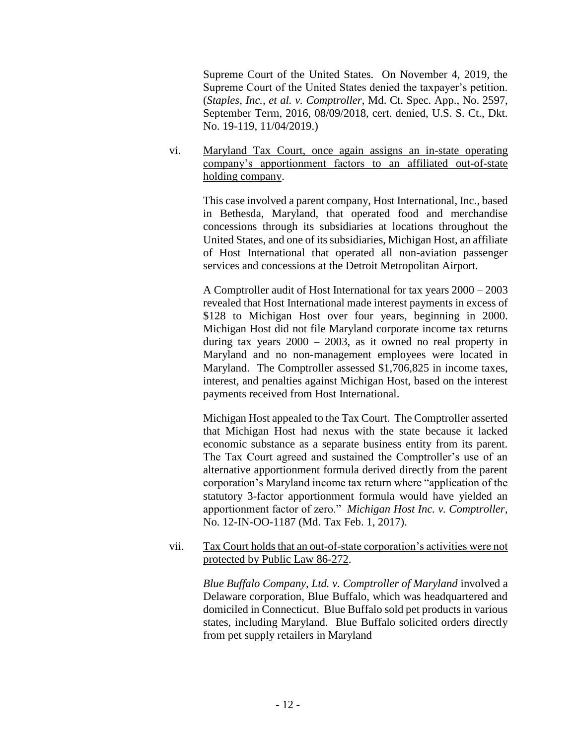Supreme Court of the United States. On November 4, 2019, the Supreme Court of the United States denied the taxpayer's petition. (*Staples, Inc., et al. v. Comptroller*, Md. Ct. Spec. App., No. 2597, September Term, 2016, 08/09/2018, cert. denied, U.S. S. Ct., Dkt. No. 19-119, 11/04/2019.)

vi. Maryland Tax Court, once again assigns an in-state operating company's apportionment factors to an affiliated out-of-state holding company.

> This case involved a parent company, Host International, Inc., based in Bethesda, Maryland, that operated food and merchandise concessions through its subsidiaries at locations throughout the United States, and one of its subsidiaries, Michigan Host, an affiliate of Host International that operated all non-aviation passenger services and concessions at the Detroit Metropolitan Airport.

> A Comptroller audit of Host International for tax years 2000 – 2003 revealed that Host International made interest payments in excess of \$128 to Michigan Host over four years, beginning in 2000. Michigan Host did not file Maryland corporate income tax returns during tax years  $2000 - 2003$ , as it owned no real property in Maryland and no non-management employees were located in Maryland. The Comptroller assessed \$1,706,825 in income taxes, interest, and penalties against Michigan Host, based on the interest payments received from Host International.

> Michigan Host appealed to the Tax Court. The Comptroller asserted that Michigan Host had nexus with the state because it lacked economic substance as a separate business entity from its parent. The Tax Court agreed and sustained the Comptroller's use of an alternative apportionment formula derived directly from the parent corporation's Maryland income tax return where "application of the statutory 3-factor apportionment formula would have yielded an apportionment factor of zero." *Michigan Host Inc. v. Comptroller*, No. 12-IN-OO-1187 (Md. Tax Feb. 1, 2017).

vii. Tax Court holds that an out-of-state corporation's activities were not protected by Public Law 86-272.

> *Blue Buffalo Company, Ltd. v. Comptroller of Maryland* involved a Delaware corporation, Blue Buffalo, which was headquartered and domiciled in Connecticut. Blue Buffalo sold pet products in various states, including Maryland. Blue Buffalo solicited orders directly from pet supply retailers in Maryland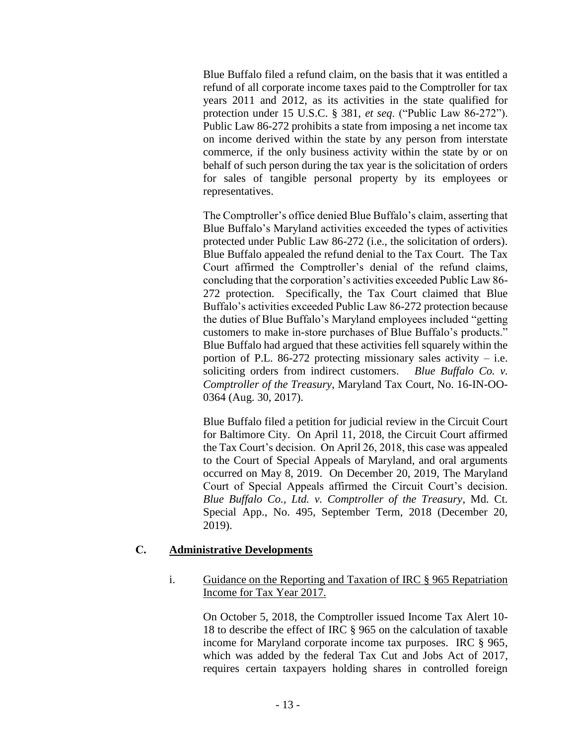Blue Buffalo filed a refund claim, on the basis that it was entitled a refund of all corporate income taxes paid to the Comptroller for tax years 2011 and 2012, as its activities in the state qualified for protection under 15 U.S.C. § 381, *et seq*. ("Public Law 86-272"). Public Law 86-272 prohibits a state from imposing a net income tax on income derived within the state by any person from interstate commerce, if the only business activity within the state by or on behalf of such person during the tax year is the solicitation of orders for sales of tangible personal property by its employees or representatives.

The Comptroller's office denied Blue Buffalo's claim, asserting that Blue Buffalo's Maryland activities exceeded the types of activities protected under Public Law 86-272 (i.e., the solicitation of orders). Blue Buffalo appealed the refund denial to the Tax Court. The Tax Court affirmed the Comptroller's denial of the refund claims, concluding that the corporation's activities exceeded Public Law 86- 272 protection. Specifically, the Tax Court claimed that Blue Buffalo's activities exceeded Public Law 86-272 protection because the duties of Blue Buffalo's Maryland employees included "getting customers to make in-store purchases of Blue Buffalo's products." Blue Buffalo had argued that these activities fell squarely within the portion of P.L. 86-272 protecting missionary sales activity  $-$  i.e. soliciting orders from indirect customers. *Blue Buffalo Co. v. Comptroller of the Treasury*, Maryland Tax Court, No. 16-IN-OO-0364 (Aug. 30, 2017).

Blue Buffalo filed a petition for judicial review in the Circuit Court for Baltimore City. On April 11, 2018, the Circuit Court affirmed the Tax Court's decision. On April 26, 2018, this case was appealed to the Court of Special Appeals of Maryland, and oral arguments occurred on May 8, 2019. On December 20, 2019, The Maryland Court of Special Appeals affirmed the Circuit Court's decision. *Blue Buffalo Co., Ltd. v. Comptroller of the Treasury*, Md. Ct. Special App., No. 495, September Term, 2018 (December 20, 2019).

## **C. Administrative Developments**

## i. Guidance on the Reporting and Taxation of IRC § 965 Repatriation Income for Tax Year 2017.

On October 5, 2018, the Comptroller issued Income Tax Alert 10- 18 to describe the effect of IRC § 965 on the calculation of taxable income for Maryland corporate income tax purposes. IRC § 965, which was added by the federal Tax Cut and Jobs Act of 2017, requires certain taxpayers holding shares in controlled foreign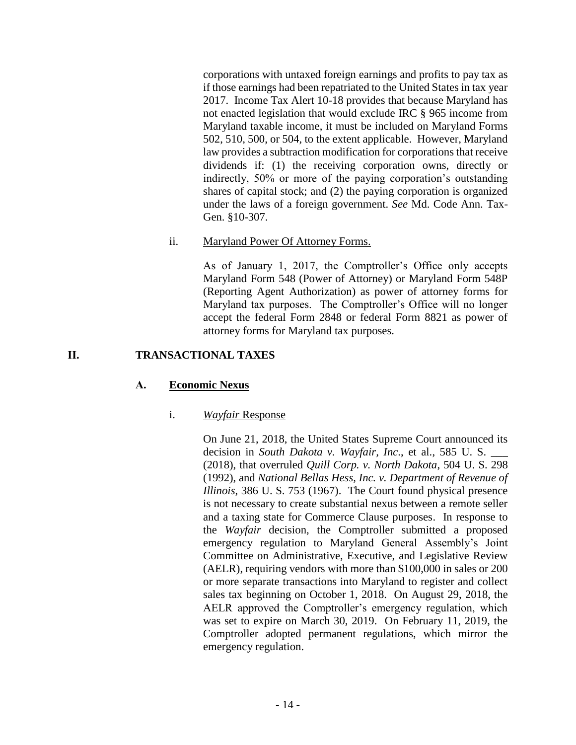corporations with untaxed foreign earnings and profits to pay tax as if those earnings had been repatriated to the United States in tax year 2017. Income Tax Alert 10-18 provides that because Maryland has not enacted legislation that would exclude IRC § 965 income from Maryland taxable income, it must be included on Maryland Forms 502, 510, 500, or 504, to the extent applicable. However, Maryland law provides a subtraction modification for corporations that receive dividends if: (1) the receiving corporation owns, directly or indirectly, 50% or more of the paying corporation's outstanding shares of capital stock; and (2) the paying corporation is organized under the laws of a foreign government. *See* Md. Code Ann. Tax-Gen. §10-307.

## ii. Maryland Power Of Attorney Forms.

As of January 1, 2017, the Comptroller's Office only accepts Maryland Form 548 (Power of Attorney) or Maryland Form 548P (Reporting Agent Authorization) as power of attorney forms for Maryland tax purposes. The Comptroller's Office will no longer accept the federal Form 2848 or federal Form 8821 as power of attorney forms for Maryland tax purposes.

## **II. TRANSACTIONAL TAXES**

## **A. Economic Nexus**

## i. *Wayfair* Response

On June 21, 2018, the United States Supreme Court announced its decision in *South Dakota v. Wayfair, Inc*., et al., 585 U. S. \_\_\_ (2018), that overruled *Quill Corp. v. North Dakota*, 504 U. S. 298 (1992), and *National Bellas Hess, Inc. v. Department of Revenue of Illinois*, 386 U. S. 753 (1967). The Court found physical presence is not necessary to create substantial nexus between a remote seller and a taxing state for Commerce Clause purposes. In response to the *Wayfair* decision, the Comptroller submitted a proposed emergency regulation to Maryland General Assembly's Joint Committee on Administrative, Executive, and Legislative Review (AELR), requiring vendors with more than \$100,000 in sales or 200 or more separate transactions into Maryland to register and collect sales tax beginning on October 1, 2018. On August 29, 2018, the AELR approved the Comptroller's emergency regulation, which was set to expire on March 30, 2019. On February 11, 2019, the Comptroller adopted permanent regulations, which mirror the emergency regulation.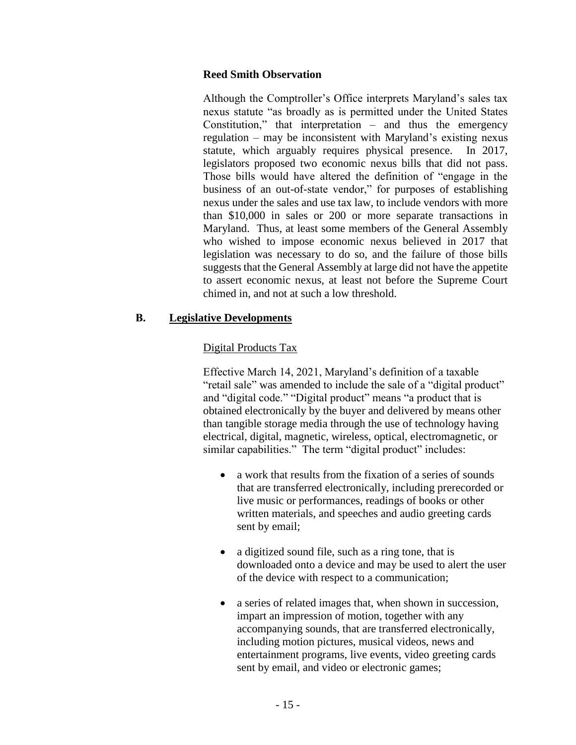### **Reed Smith Observation**

Although the Comptroller's Office interprets Maryland's sales tax nexus statute "as broadly as is permitted under the United States Constitution," that interpretation – and thus the emergency regulation – may be inconsistent with Maryland's existing nexus statute, which arguably requires physical presence. In 2017, legislators proposed two economic nexus bills that did not pass. Those bills would have altered the definition of "engage in the business of an out-of-state vendor," for purposes of establishing nexus under the sales and use tax law, to include vendors with more than \$10,000 in sales or 200 or more separate transactions in Maryland. Thus, at least some members of the General Assembly who wished to impose economic nexus believed in 2017 that legislation was necessary to do so, and the failure of those bills suggests that the General Assembly at large did not have the appetite to assert economic nexus, at least not before the Supreme Court chimed in, and not at such a low threshold.

## **B. Legislative Developments**

# Digital Products Tax

Effective March 14, 2021, Maryland's definition of a taxable "retail sale" was amended to include the sale of a "digital product" and "digital code." "Digital product" means "a product that is obtained electronically by the buyer and delivered by means other than tangible storage media through the use of technology having electrical, digital, magnetic, wireless, optical, electromagnetic, or similar capabilities." The term "digital product" includes:

- a work that results from the fixation of a series of sounds that are transferred electronically, including prerecorded or live music or performances, readings of books or other written materials, and speeches and audio greeting cards sent by email;
- a digitized sound file, such as a ring tone, that is downloaded onto a device and may be used to alert the user of the device with respect to a communication;
- a series of related images that, when shown in succession, impart an impression of motion, together with any accompanying sounds, that are transferred electronically, including motion pictures, musical videos, news and entertainment programs, live events, video greeting cards sent by email, and video or electronic games;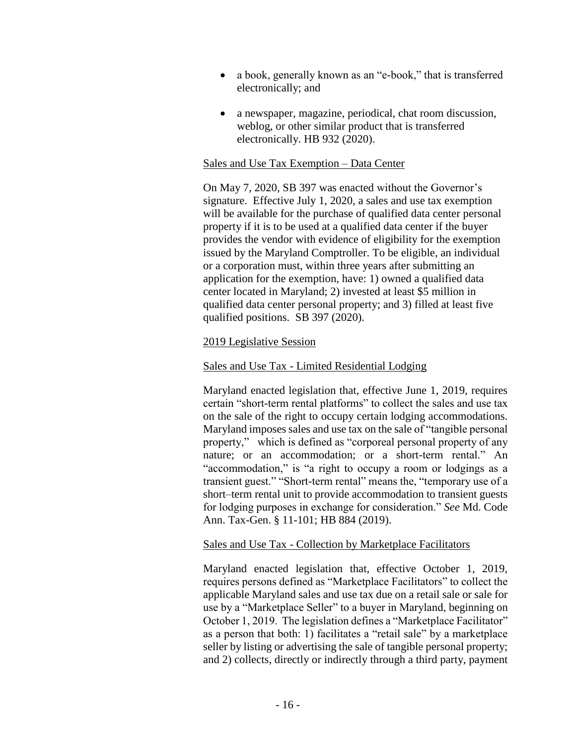- a book, generally known as an "e-book," that is transferred electronically; and
- a newspaper, magazine, periodical, chat room discussion, weblog, or other similar product that is transferred electronically. HB 932 (2020).

### Sales and Use Tax Exemption – Data Center

On May 7, 2020, SB 397 was enacted without the Governor's signature. Effective July 1, 2020, a sales and use tax exemption will be available for the purchase of qualified data center personal property if it is to be used at a qualified data center if the buyer provides the vendor with evidence of eligibility for the exemption issued by the Maryland Comptroller. To be eligible, an individual or a corporation must, within three years after submitting an application for the exemption, have: 1) owned a qualified data center located in Maryland; 2) invested at least \$5 million in qualified data center personal property; and 3) filled at least five qualified positions. SB 397 (2020).

### 2019 Legislative Session

### Sales and Use Tax - Limited Residential Lodging

Maryland enacted legislation that, effective June 1, 2019, requires certain "short-term rental platforms" to collect the sales and use tax on the sale of the right to occupy certain lodging accommodations. Maryland imposes sales and use tax on the sale of "tangible personal property," which is defined as "corporeal personal property of any nature; or an accommodation; or a short-term rental." An "accommodation," is "a right to occupy a room or lodgings as a transient guest." "Short-term rental" means the, "temporary use of a short–term rental unit to provide accommodation to transient guests for lodging purposes in exchange for consideration." *See* Md. Code Ann. Tax-Gen. § 11-101; HB 884 (2019).

### Sales and Use Tax - Collection by Marketplace Facilitators

Maryland enacted legislation that, effective October 1, 2019, requires persons defined as "Marketplace Facilitators" to collect the applicable Maryland sales and use tax due on a retail sale or sale for use by a "Marketplace Seller" to a buyer in Maryland, beginning on October 1, 2019. The legislation defines a "Marketplace Facilitator" as a person that both: 1) facilitates a "retail sale" by a marketplace seller by listing or advertising the sale of tangible personal property; and 2) collects, directly or indirectly through a third party, payment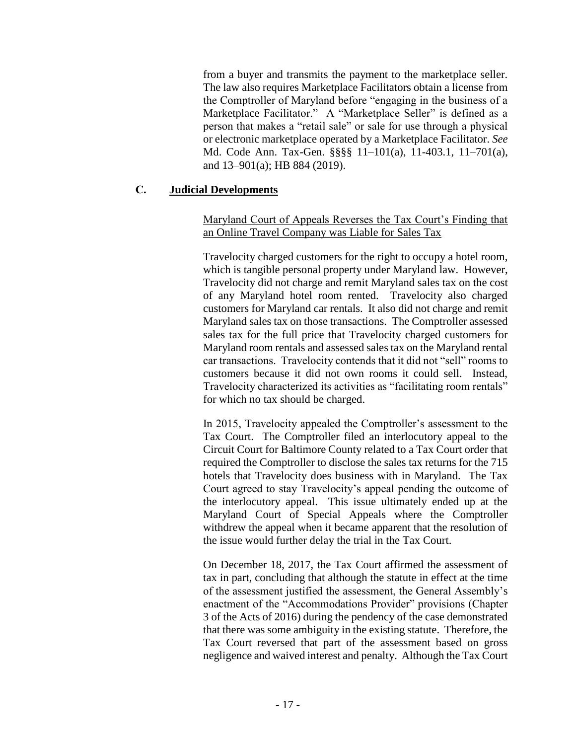from a buyer and transmits the payment to the marketplace seller. The law also requires Marketplace Facilitators obtain a license from the Comptroller of Maryland before "engaging in the business of a Marketplace Facilitator." A "Marketplace Seller" is defined as a person that makes a "retail sale" or sale for use through a physical or electronic marketplace operated by a Marketplace Facilitator. *See* Md. Code Ann. Tax-Gen. §§§§ 11–101(a), 11-403.1, 11–701(a), and 13–901(a); HB 884 (2019).

### **C. Judicial Developments**

## Maryland Court of Appeals Reverses the Tax Court's Finding that an Online Travel Company was Liable for Sales Tax

Travelocity charged customers for the right to occupy a hotel room, which is tangible personal property under Maryland law. However, Travelocity did not charge and remit Maryland sales tax on the cost of any Maryland hotel room rented. Travelocity also charged customers for Maryland car rentals. It also did not charge and remit Maryland sales tax on those transactions. The Comptroller assessed sales tax for the full price that Travelocity charged customers for Maryland room rentals and assessed sales tax on the Maryland rental car transactions. Travelocity contends that it did not "sell" rooms to customers because it did not own rooms it could sell. Instead, Travelocity characterized its activities as "facilitating room rentals" for which no tax should be charged.

In 2015, Travelocity appealed the Comptroller's assessment to the Tax Court. The Comptroller filed an interlocutory appeal to the Circuit Court for Baltimore County related to a Tax Court order that required the Comptroller to disclose the sales tax returns for the 715 hotels that Travelocity does business with in Maryland. The Tax Court agreed to stay Travelocity's appeal pending the outcome of the interlocutory appeal. This issue ultimately ended up at the Maryland Court of Special Appeals where the Comptroller withdrew the appeal when it became apparent that the resolution of the issue would further delay the trial in the Tax Court.

On December 18, 2017, the Tax Court affirmed the assessment of tax in part, concluding that although the statute in effect at the time of the assessment justified the assessment, the General Assembly's enactment of the "Accommodations Provider" provisions (Chapter 3 of the Acts of 2016) during the pendency of the case demonstrated that there was some ambiguity in the existing statute. Therefore, the Tax Court reversed that part of the assessment based on gross negligence and waived interest and penalty. Although the Tax Court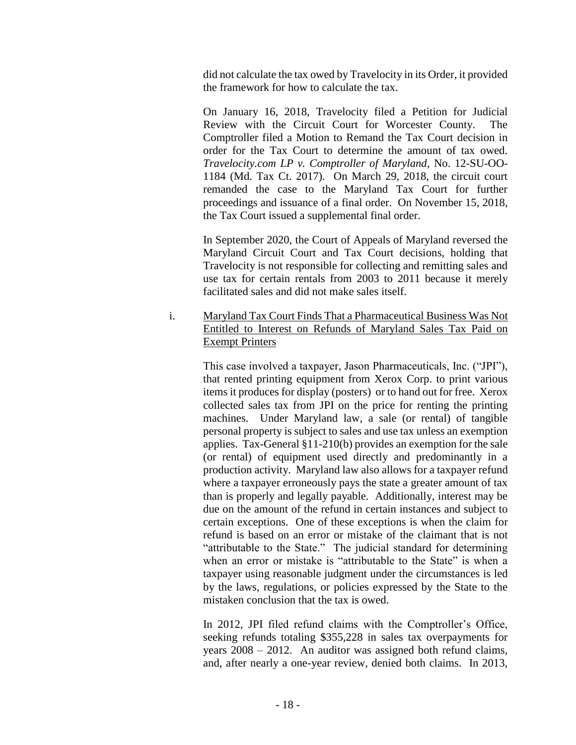did not calculate the tax owed by Travelocity in its Order, it provided the framework for how to calculate the tax.

On January 16, 2018, Travelocity filed a Petition for Judicial Review with the Circuit Court for Worcester County. The Comptroller filed a Motion to Remand the Tax Court decision in order for the Tax Court to determine the amount of tax owed. *Travelocity.com LP v. Comptroller of Maryland*, No. 12-SU-OO-1184 (Md. Tax Ct. 2017). On March 29, 2018, the circuit court remanded the case to the Maryland Tax Court for further proceedings and issuance of a final order. On November 15, 2018, the Tax Court issued a supplemental final order.

In September 2020, the Court of Appeals of Maryland reversed the Maryland Circuit Court and Tax Court decisions, holding that Travelocity is not responsible for collecting and remitting sales and use tax for certain rentals from 2003 to 2011 because it merely facilitated sales and did not make sales itself.

i. Maryland Tax Court Finds That a Pharmaceutical Business Was Not Entitled to Interest on Refunds of Maryland Sales Tax Paid on Exempt Printers

> This case involved a taxpayer, Jason Pharmaceuticals, Inc. ("JPI"), that rented printing equipment from Xerox Corp. to print various items it produces for display (posters) or to hand out for free. Xerox collected sales tax from JPI on the price for renting the printing machines. Under Maryland law, a sale (or rental) of tangible personal property is subject to sales and use tax unless an exemption applies. Tax-General §11-210(b) provides an exemption for the sale (or rental) of equipment used directly and predominantly in a production activity. Maryland law also allows for a taxpayer refund where a taxpayer erroneously pays the state a greater amount of tax than is properly and legally payable. Additionally, interest may be due on the amount of the refund in certain instances and subject to certain exceptions. One of these exceptions is when the claim for refund is based on an error or mistake of the claimant that is not "attributable to the State." The judicial standard for determining when an error or mistake is "attributable to the State" is when a taxpayer using reasonable judgment under the circumstances is led by the laws, regulations, or policies expressed by the State to the mistaken conclusion that the tax is owed.

> In 2012, JPI filed refund claims with the Comptroller's Office, seeking refunds totaling \$355,228 in sales tax overpayments for years 2008 – 2012. An auditor was assigned both refund claims, and, after nearly a one-year review, denied both claims. In 2013,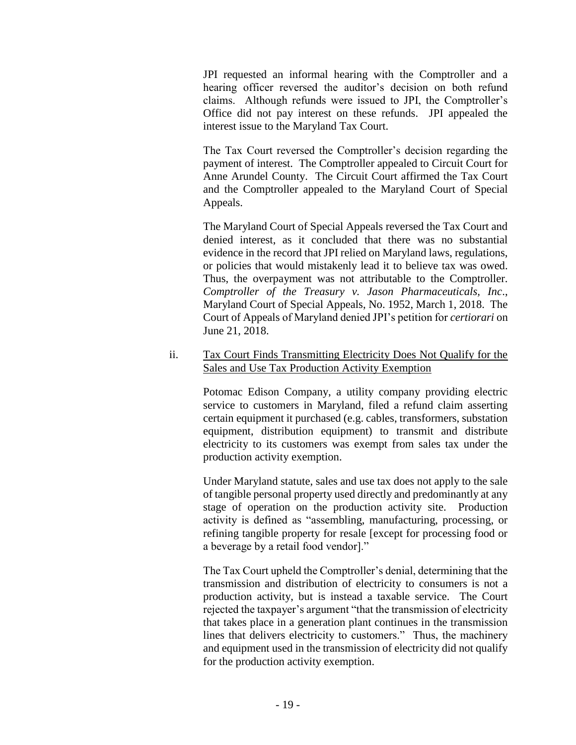JPI requested an informal hearing with the Comptroller and a hearing officer reversed the auditor's decision on both refund claims. Although refunds were issued to JPI, the Comptroller's Office did not pay interest on these refunds. JPI appealed the interest issue to the Maryland Tax Court.

The Tax Court reversed the Comptroller's decision regarding the payment of interest. The Comptroller appealed to Circuit Court for Anne Arundel County. The Circuit Court affirmed the Tax Court and the Comptroller appealed to the Maryland Court of Special Appeals.

The Maryland Court of Special Appeals reversed the Tax Court and denied interest, as it concluded that there was no substantial evidence in the record that JPI relied on Maryland laws, regulations, or policies that would mistakenly lead it to believe tax was owed. Thus, the overpayment was not attributable to the Comptroller. *Comptroller of the Treasury v. Jason Pharmaceuticals, Inc*., Maryland Court of Special Appeals, No. 1952, March 1, 2018. The Court of Appeals of Maryland denied JPI's petition for *certiorari* on June 21, 2018.

### ii. Tax Court Finds Transmitting Electricity Does Not Qualify for the Sales and Use Tax Production Activity Exemption

Potomac Edison Company, a utility company providing electric service to customers in Maryland, filed a refund claim asserting certain equipment it purchased (e.g. cables, transformers, substation equipment, distribution equipment) to transmit and distribute electricity to its customers was exempt from sales tax under the production activity exemption.

Under Maryland statute, sales and use tax does not apply to the sale of tangible personal property used directly and predominantly at any stage of operation on the production activity site. Production activity is defined as "assembling, manufacturing, processing, or refining tangible property for resale [except for processing food or a beverage by a retail food vendor]."

The Tax Court upheld the Comptroller's denial, determining that the transmission and distribution of electricity to consumers is not a production activity, but is instead a taxable service. The Court rejected the taxpayer's argument "that the transmission of electricity that takes place in a generation plant continues in the transmission lines that delivers electricity to customers." Thus, the machinery and equipment used in the transmission of electricity did not qualify for the production activity exemption.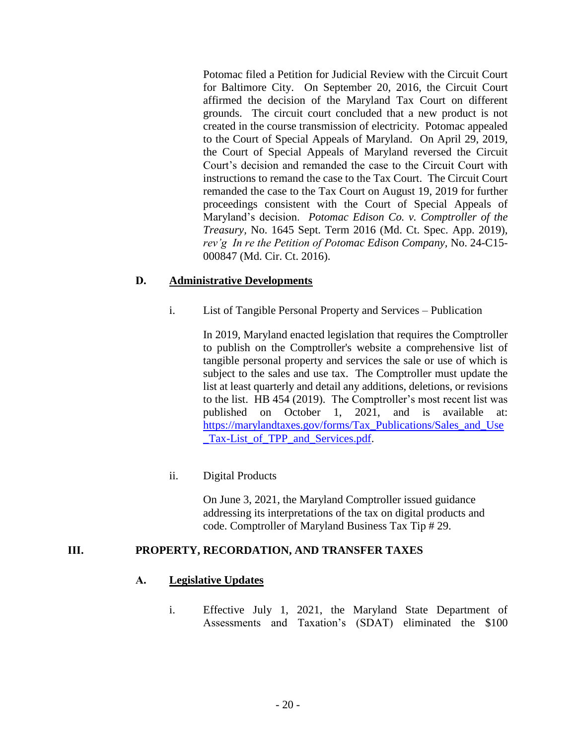Potomac filed a Petition for Judicial Review with the Circuit Court for Baltimore City. On September 20, 2016, the Circuit Court affirmed the decision of the Maryland Tax Court on different grounds. The circuit court concluded that a new product is not created in the course transmission of electricity. Potomac appealed to the Court of Special Appeals of Maryland. On April 29, 2019, the Court of Special Appeals of Maryland reversed the Circuit Court's decision and remanded the case to the Circuit Court with instructions to remand the case to the Tax Court. The Circuit Court remanded the case to the Tax Court on August 19, 2019 for further proceedings consistent with the Court of Special Appeals of Maryland's decision. *Potomac Edison Co. v. Comptroller of the Treasury,* No. 1645 Sept. Term 2016 (Md. Ct. Spec. App. 2019), *rev'g In re the Petition of Potomac Edison Company,* No. 24-C15- 000847 (Md. Cir. Ct. 2016).

### **D. Administrative Developments**

i. List of Tangible Personal Property and Services – Publication

In 2019, Maryland enacted legislation that requires the Comptroller to publish on the Comptroller's website a comprehensive list of tangible personal property and services the sale or use of which is subject to the sales and use tax. The Comptroller must update the list at least quarterly and detail any additions, deletions, or revisions to the list. HB 454 (2019). The Comptroller's most recent list was published on October 1, 2021, and is available at: [https://marylandtaxes.gov/forms/Tax\\_Publications/Sales\\_and\\_Use](https://marylandtaxes.gov/forms/Tax_Publications/Sales_and_Use_Tax-List_of_TPP_and_Services.pdf) [\\_Tax-List\\_of\\_TPP\\_and\\_Services.pdf.](https://marylandtaxes.gov/forms/Tax_Publications/Sales_and_Use_Tax-List_of_TPP_and_Services.pdf)

## ii. Digital Products

On June 3, 2021, the Maryland Comptroller issued guidance addressing its interpretations of the tax on digital products and code. Comptroller of Maryland Business Tax Tip # 29.

### **III. PROPERTY, RECORDATION, AND TRANSFER TAXES**

### **A. Legislative Updates**

i. Effective July 1, 2021, the Maryland State Department of Assessments and Taxation's (SDAT) eliminated the \$100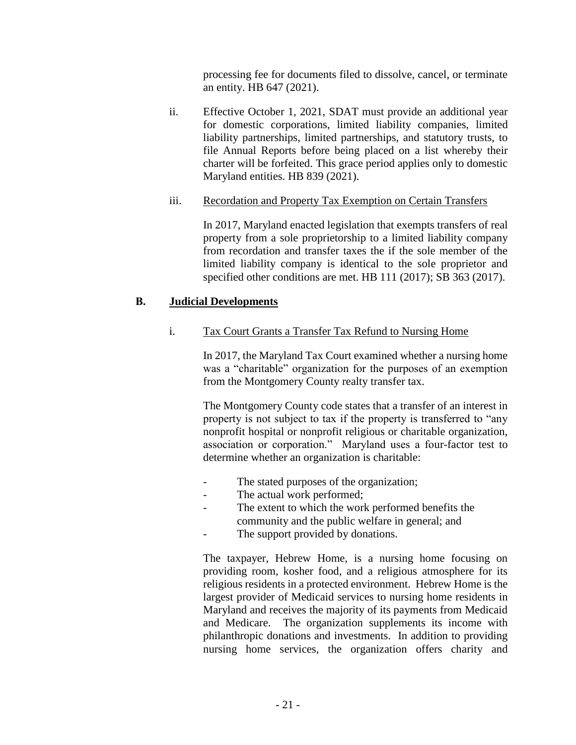processing fee for documents filed to dissolve, cancel, or terminate an entity. HB 647 (2021).

ii. Effective October 1, 2021, SDAT must provide an additional year for domestic corporations, limited liability companies, limited liability partnerships, limited partnerships, and statutory trusts, to file Annual Reports before being placed on a list whereby their charter will be forfeited. This grace period applies only to domestic Maryland entities. HB 839 (2021).

## iii. Recordation and Property Tax Exemption on Certain Transfers

In 2017, Maryland enacted legislation that exempts transfers of real property from a sole proprietorship to a limited liability company from recordation and transfer taxes the if the sole member of the limited liability company is identical to the sole proprietor and specified other conditions are met. HB 111 (2017); SB 363 (2017).

## **B. Judicial Developments**

## i. Tax Court Grants a Transfer Tax Refund to Nursing Home

In 2017, the Maryland Tax Court examined whether a nursing home was a "charitable" organization for the purposes of an exemption from the Montgomery County realty transfer tax.

The Montgomery County code states that a transfer of an interest in property is not subject to tax if the property is transferred to "any nonprofit hospital or nonprofit religious or charitable organization, association or corporation." Maryland uses a four-factor test to determine whether an organization is charitable:

- The stated purposes of the organization;
- The actual work performed;
- The extent to which the work performed benefits the community and the public welfare in general; and
- The support provided by donations.

The taxpayer, Hebrew Home, is a nursing home focusing on providing room, kosher food, and a religious atmosphere for its religious residents in a protected environment. Hebrew Home is the largest provider of Medicaid services to nursing home residents in Maryland and receives the majority of its payments from Medicaid and Medicare. The organization supplements its income with philanthropic donations and investments. In addition to providing nursing home services, the organization offers charity and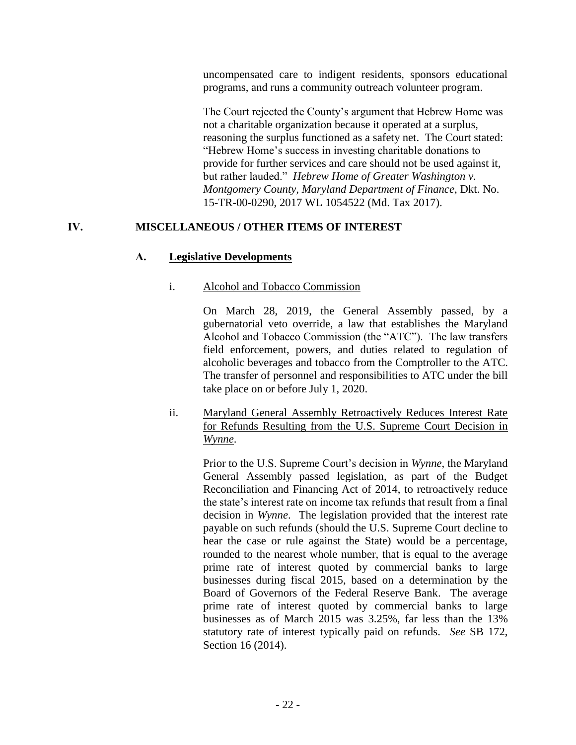uncompensated care to indigent residents, sponsors educational programs, and runs a community outreach volunteer program.

The Court rejected the County's argument that Hebrew Home was not a charitable organization because it operated at a surplus, reasoning the surplus functioned as a safety net. The Court stated: "Hebrew Home's success in investing charitable donations to provide for further services and care should not be used against it, but rather lauded." *Hebrew Home of Greater Washington v. Montgomery County, Maryland Department of Finance*, Dkt. No. 15-TR-00-0290, 2017 WL 1054522 (Md. Tax 2017).

# **IV. MISCELLANEOUS / OTHER ITEMS OF INTEREST**

# **A. Legislative Developments**

## i. Alcohol and Tobacco Commission

On March 28, 2019, the General Assembly passed, by a gubernatorial veto override, a law that establishes the Maryland Alcohol and Tobacco Commission (the "ATC"). The law transfers field enforcement, powers, and duties related to regulation of alcoholic beverages and tobacco from the Comptroller to the ATC. The transfer of personnel and responsibilities to ATC under the bill take place on or before July 1, 2020.

## ii. Maryland General Assembly Retroactively Reduces Interest Rate for Refunds Resulting from the U.S. Supreme Court Decision in *Wynne*.

Prior to the U.S. Supreme Court's decision in *Wynne*, the Maryland General Assembly passed legislation, as part of the Budget Reconciliation and Financing Act of 2014, to retroactively reduce the state's interest rate on income tax refunds that result from a final decision in *Wynne*. The legislation provided that the interest rate payable on such refunds (should the U.S. Supreme Court decline to hear the case or rule against the State) would be a percentage, rounded to the nearest whole number, that is equal to the average prime rate of interest quoted by commercial banks to large businesses during fiscal 2015, based on a determination by the Board of Governors of the Federal Reserve Bank. The average prime rate of interest quoted by commercial banks to large businesses as of March 2015 was 3.25%, far less than the 13% statutory rate of interest typically paid on refunds. *See* SB 172, Section 16 (2014).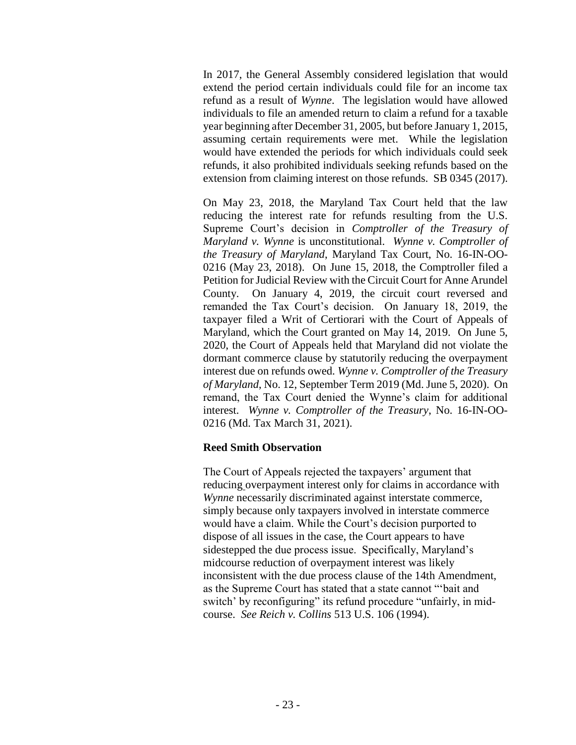In 2017, the General Assembly considered legislation that would extend the period certain individuals could file for an income tax refund as a result of *Wynne*. The legislation would have allowed individuals to file an amended return to claim a refund for a taxable year beginning after December 31, 2005, but before January 1, 2015, assuming certain requirements were met. While the legislation would have extended the periods for which individuals could seek refunds, it also prohibited individuals seeking refunds based on the extension from claiming interest on those refunds. SB 0345 (2017).

On May 23, 2018, the Maryland Tax Court held that the law reducing the interest rate for refunds resulting from the U.S. Supreme Court's decision in *Comptroller of the Treasury of Maryland v. Wynne* is unconstitutional. *Wynne v. Comptroller of the Treasury of Maryland*, Maryland Tax Court, No. 16-IN-OO-0216 (May 23, 2018). On June 15, 2018, the Comptroller filed a Petition for Judicial Review with the Circuit Court for Anne Arundel County. On January 4, 2019, the circuit court reversed and remanded the Tax Court's decision. On January 18, 2019, the taxpayer filed a Writ of Certiorari with the Court of Appeals of Maryland, which the Court granted on May 14, 2019. On June 5, 2020, the Court of Appeals held that Maryland did not violate the dormant commerce clause by statutorily reducing the overpayment interest due on refunds owed. *Wynne v. Comptroller of the Treasury of Maryland*, No. 12, September Term 2019 (Md. June 5, 2020). On remand, the Tax Court denied the Wynne's claim for additional interest. *Wynne v. Comptroller of the Treasury*, No. 16-IN-OO-0216 (Md. Tax March 31, 2021).

### **Reed Smith Observation**

The Court of Appeals rejected the taxpayers' argument that reducing overpayment interest only for claims in accordance with *Wynne* necessarily discriminated against interstate commerce, simply because only taxpayers involved in interstate commerce would have a claim. While the Court's decision purported to dispose of all issues in the case, the Court appears to have sidestepped the due process issue. Specifically, Maryland's midcourse reduction of overpayment interest was likely inconsistent with the due process clause of the 14th Amendment, as the Supreme Court has stated that a state cannot "'bait and switch' by reconfiguring" its refund procedure "unfairly, in midcourse. *See Reich v. Collins* 513 U.S. 106 (1994).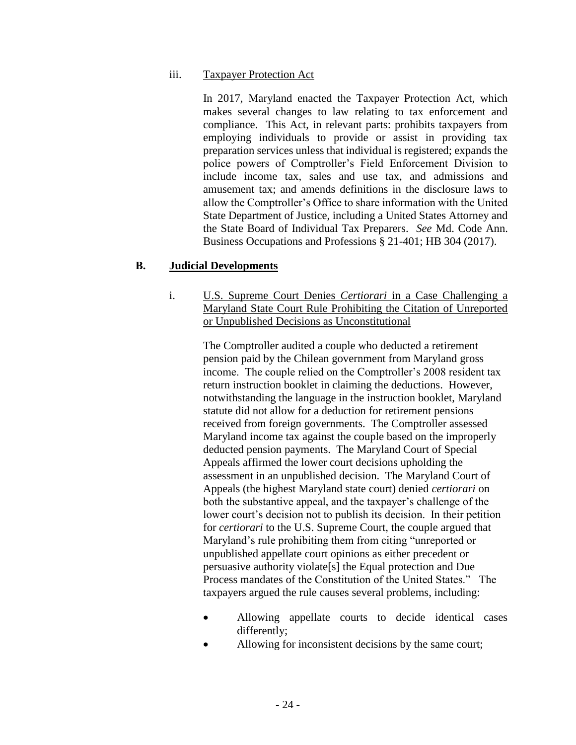### iii. Taxpayer Protection Act

In 2017, Maryland enacted the Taxpayer Protection Act, which makes several changes to law relating to tax enforcement and compliance. This Act, in relevant parts: prohibits taxpayers from employing individuals to provide or assist in providing tax preparation services unless that individual is registered; expands the police powers of Comptroller's Field Enforcement Division to include income tax, sales and use tax, and admissions and amusement tax; and amends definitions in the disclosure laws to allow the Comptroller's Office to share information with the United State Department of Justice, including a United States Attorney and the State Board of Individual Tax Preparers. *See* Md. Code Ann. Business Occupations and Professions § 21-401; HB 304 (2017).

### **B. Judicial Developments**

i. U.S. Supreme Court Denies *Certiorari* in a Case Challenging a Maryland State Court Rule Prohibiting the Citation of Unreported or Unpublished Decisions as Unconstitutional

The Comptroller audited a couple who deducted a retirement pension paid by the Chilean government from Maryland gross income. The couple relied on the Comptroller's 2008 resident tax return instruction booklet in claiming the deductions. However, notwithstanding the language in the instruction booklet, Maryland statute did not allow for a deduction for retirement pensions received from foreign governments. The Comptroller assessed Maryland income tax against the couple based on the improperly deducted pension payments. The Maryland Court of Special Appeals affirmed the lower court decisions upholding the assessment in an unpublished decision. The Maryland Court of Appeals (the highest Maryland state court) denied *certiorari* on both the substantive appeal, and the taxpayer's challenge of the lower court's decision not to publish its decision. In their petition for *certiorari* to the U.S. Supreme Court, the couple argued that Maryland's rule prohibiting them from citing "unreported or unpublished appellate court opinions as either precedent or persuasive authority violate[s] the Equal protection and Due Process mandates of the Constitution of the United States." The taxpayers argued the rule causes several problems, including:

- Allowing appellate courts to decide identical cases differently;
- Allowing for inconsistent decisions by the same court;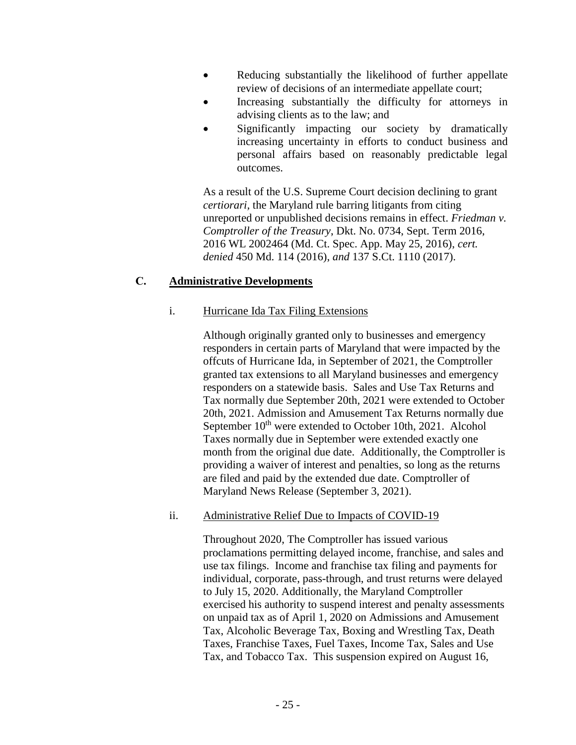- Reducing substantially the likelihood of further appellate review of decisions of an intermediate appellate court;
- Increasing substantially the difficulty for attorneys in advising clients as to the law; and
- Significantly impacting our society by dramatically increasing uncertainty in efforts to conduct business and personal affairs based on reasonably predictable legal outcomes.

As a result of the U.S. Supreme Court decision declining to grant *certiorari,* the Maryland rule barring litigants from citing unreported or unpublished decisions remains in effect. *Friedman v. Comptroller of the Treasury*, Dkt. No. 0734, Sept. Term 2016, 2016 WL 2002464 (Md. Ct. Spec. App. May 25, 2016), *cert. denied* 450 Md. 114 (2016), *and* 137 S.Ct. 1110 (2017).

# **C. Administrative Developments**

## i. Hurricane Ida Tax Filing Extensions

Although originally granted only to businesses and emergency responders in certain parts of Maryland that were impacted by the offcuts of Hurricane Ida, in September of 2021, the Comptroller granted tax extensions to all Maryland businesses and emergency responders on a statewide basis. Sales and Use Tax Returns and Tax normally due September 20th, 2021 were extended to October 20th, 2021. Admission and Amusement Tax Returns normally due September  $10^{th}$  were extended to October 10th, 2021. Alcohol Taxes normally due in September were extended exactly one month from the original due date. Additionally, the Comptroller is providing a waiver of interest and penalties, so long as the returns are filed and paid by the extended due date. Comptroller of Maryland News Release (September 3, 2021).

## ii. Administrative Relief Due to Impacts of COVID-19

Throughout 2020, The Comptroller has issued various proclamations permitting delayed income, franchise, and sales and use tax filings. Income and franchise tax filing and payments for individual, corporate, pass-through, and trust returns were delayed to July 15, 2020. Additionally, the Maryland Comptroller exercised his authority to suspend interest and penalty assessments on unpaid tax as of April 1, 2020 on Admissions and Amusement Tax, Alcoholic Beverage Tax, Boxing and Wrestling Tax, Death Taxes, Franchise Taxes, Fuel Taxes, Income Tax, Sales and Use Tax, and Tobacco Tax. This suspension expired on August 16,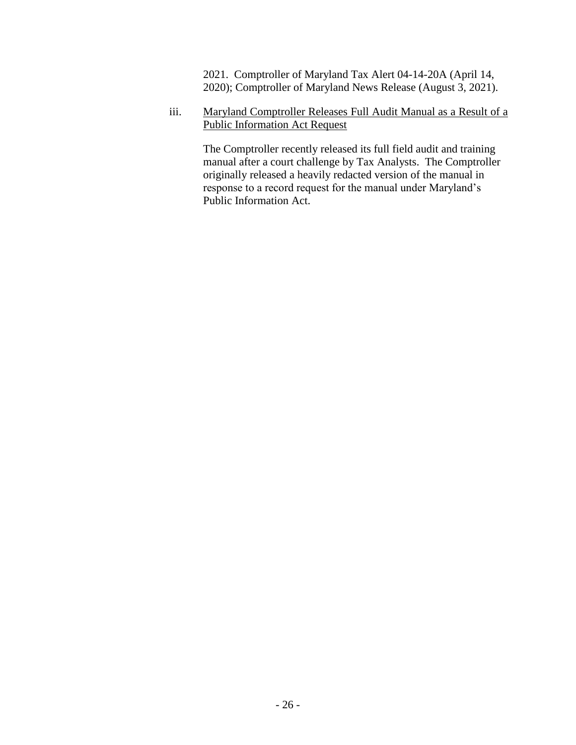2021. Comptroller of Maryland Tax Alert 04-14-20A (April 14, 2020); Comptroller of Maryland News Release (August 3, 2021).

iii. Maryland Comptroller Releases Full Audit Manual as a Result of a Public Information Act Request

The Comptroller recently released its full field audit and training manual after a court challenge by Tax Analysts. The Comptroller originally released a heavily redacted version of the manual in response to a record request for the manual under Maryland's Public Information Act.